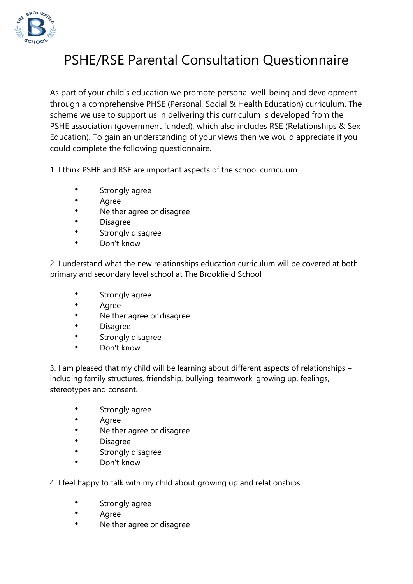

## PSHE/RSE Parental Consultation Questionnaire

As part of your child's education we promote personal well-being and development through a comprehensive PHSE (Personal, Social & Health Education) curriculum. The scheme we use to support us in delivering this curriculum is developed from the PSHE association (government funded), which also includes RSE (Relationships & Sex Education). To gain an understanding of your views then we would appreciate if you could complete the following questionnaire.

1. I think PSHE and RSE are important aspects of the school curriculum

- Strongly agree
- Agree
- Neither agree or disagree
- Disagree
- **•** Strongly disagree
- Don't know

2. I understand what the new relationships education curriculum will be covered at both primary and secondary level school at The Brookfield School

- Strongly agree
- Agree
- Neither agree or disagree
- Disagree
- **•** Strongly disagree
- Don't know

3. I am pleased that my child will be learning about different aspects of relationships – including family structures, friendship, bullying, teamwork, growing up, feelings, stereotypes and consent.

- Strongly agree
- Agree
- Neither agree or disagree
- Disagree
- **•** Strongly disagree
- Don't know

4. I feel happy to talk with my child about growing up and relationships

- Strongly agree
- Agree
- Neither agree or disagree